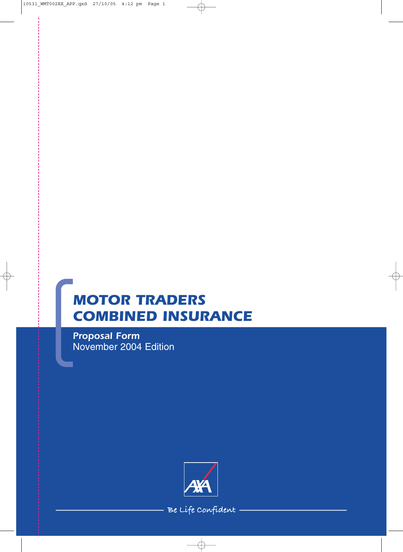# *MOTOR TRADERS COMBINED INSURANCE*

*Proposal Form* November 2004 Edition



Be Life Confident

 $\displaystyle \bigoplus$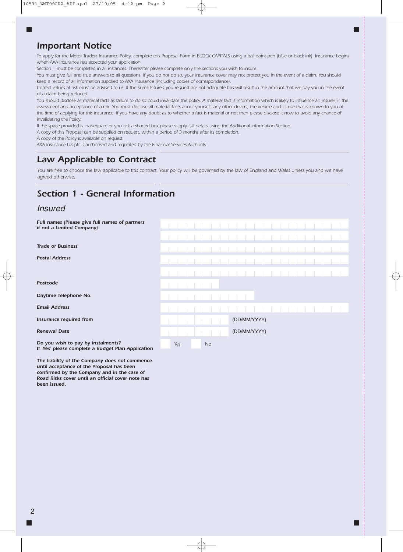### *Important Notice*

*To apply for the Motor Traders Insurance Policy, complete this Proposal Form in BLOCK CAPITALS using a ball-point pen (blue or black ink). Insurance begins when AXA Insurance has accepted your application.*

▔

П

*Section 1 must be completed in all instances. Thereafter please complete only the sections you wish to insure.*

*You must give full and true answers to all questions. If you do not do so, your insurance cover may not protect you in the event of a claim. You should keep a record of all information supplied to AXA Insurance (including copies of correspondence).*

*Correct values at risk must be advised to us. If the Sums Insured you request are not adequate this will result in the amount that we pay you in the event of a claim being reduced.*

*You should disclose all material facts as failure to do so could invalidate the policy. A material fact is information which is likely to influence an insurer in the assessment and acceptance of a risk. You must disclose all material facts about yourself, any other drivers, the vehicle and its use that is known to you at the time of applying for this insurance. If you have any doubt as to whether a fact is material or not then please disclose it now to avoid any chance of invalidating the Policy.*

*If the space provided is inadequate or you tick a shaded box please supply full details using the Additional Information Section.*

*A copy of this Proposal can be supplied on request, within a period of 3 months after its completion.*

*A copy of the Policy is available on request.*

*AXA Insurance UK plc is authorised and regulated by the Financial Services Authority.*

### *Law Applicable to Contract*

*You are free to choose the law applicable to this contract. Your policy will be governed by the law of England and Wales unless you and we have agreed otherwise.*

### *Section 1 - General Information*

#### **Insured**

| Full names (Please give full names of partners<br>if not a Limited Company)              |  |     |  |           |  |              |  |  |  |  |  |  |  |  |  |
|------------------------------------------------------------------------------------------|--|-----|--|-----------|--|--------------|--|--|--|--|--|--|--|--|--|
|                                                                                          |  |     |  |           |  |              |  |  |  |  |  |  |  |  |  |
| <b>Trade or Business</b>                                                                 |  |     |  |           |  |              |  |  |  |  |  |  |  |  |  |
| <b>Postal Address</b>                                                                    |  |     |  |           |  |              |  |  |  |  |  |  |  |  |  |
|                                                                                          |  |     |  |           |  |              |  |  |  |  |  |  |  |  |  |
| Postcode                                                                                 |  |     |  |           |  |              |  |  |  |  |  |  |  |  |  |
| Daytime Telephone No.                                                                    |  |     |  |           |  |              |  |  |  |  |  |  |  |  |  |
| <b>Email Address</b>                                                                     |  |     |  |           |  |              |  |  |  |  |  |  |  |  |  |
| Insurance required from                                                                  |  |     |  |           |  | (DD/MM/YYYY) |  |  |  |  |  |  |  |  |  |
| <b>Renewal Date</b>                                                                      |  |     |  |           |  | (DD/MM/YYYY) |  |  |  |  |  |  |  |  |  |
| Do you wish to pay by instalments?<br>If 'Yes' please complete a Budget Plan Application |  | Yes |  | <b>No</b> |  |              |  |  |  |  |  |  |  |  |  |

*The liability of the Company does not commence until acceptance of the Proposal has been confirmed by the Company and in the case of*

*Road Risks cover until an official cover note has been issued.*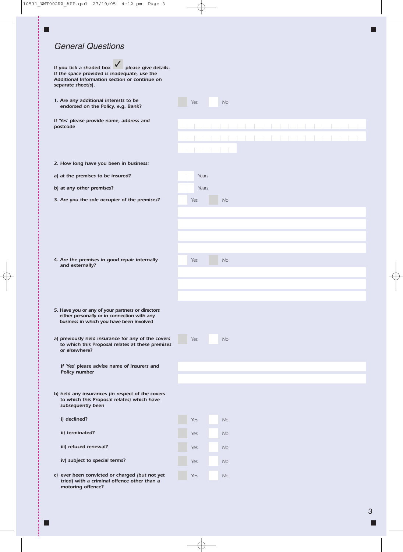| <b>General Questions</b> |  |
|--------------------------|--|
|                          |  |

П

**If you tick a shaded box** ● please give details. *If the space provided is inadequate, use the Additional Information section or continue on separate sheet(s).*

*Yes No*

*Years*

*Yes No*

*Yes No*

*Yes No*

*Yes No*

*Yes No*

*Yes No*

*Yes No*

*1. Are any additional interests to be endorsed on the Policy, e.g. Bank?*

*If 'Yes' please provide name, address and postcode*

*2. How long have you been in business:*

*a) at the premises to be insured?*

**b) at any other premises?** *Years* 

**3. Are you the sole occupier of the premises?** *Yes Yes* No

*4. Are the premises in good repair internally and externally?*

- *5. Have you or any of your partners or directors either personally or in connection with any business in which you have been involved*
- *a) previously held insurance for any of the covers to which this Proposal relates at these premises or elsewhere?*

*If 'Yes' please advise name of Insurers and Policy number*

*b) held any insurances (in respect of the covers to which this Proposal relates) which have subsequently been*

*i) declined? ii) terminated?*

П

*iii) refused renewal?*

- *iv) subject to special terms?*
- *c) ever been convicted or charged (but not yet tried) with a criminal offence other than a motoring offence?*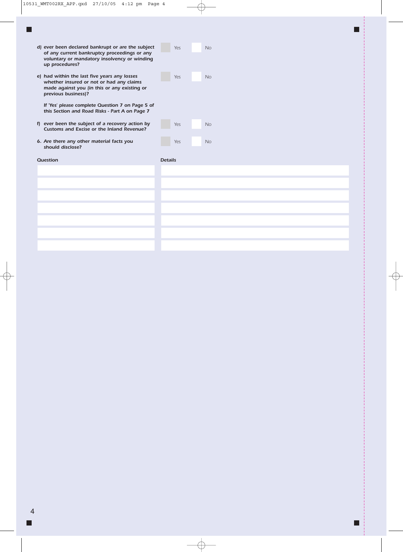|  | 10531 WMT002RX APP.qxd 27/10/05 4:12 pm Page 4 |  |
|--|------------------------------------------------|--|
|  |                                                |  |

| 0531_WMT002RX_APP.qxd 27/10/05 4:12 pm Page 4                                                                                                                       |                |           |  |  |
|---------------------------------------------------------------------------------------------------------------------------------------------------------------------|----------------|-----------|--|--|
| <b>Service Service</b>                                                                                                                                              |                |           |  |  |
| d) ever been declared bankrupt or are the subject<br>of any current bankruptcy proceedings or any<br>voluntary or mandatory insolvency or winding<br>up procedures? | Yes            | <b>No</b> |  |  |
| e) had within the last five years any losses<br>whether insured or not or had any claims<br>made against you (in this or any existing or<br>previous business)?     | Yes            | <b>No</b> |  |  |
| If 'Yes' please complete Question 7 on Page 5 of<br>this Section and Road Risks - Part A on Page 7                                                                  |                |           |  |  |
| f) ever been the subject of a recovery action by<br><b>Customs and Excise or the Inland Revenue?</b>                                                                | Yes            | <b>No</b> |  |  |
| 6. Are there any other material facts you<br>should disclose?                                                                                                       | Yes            | <b>No</b> |  |  |
| <b>Question</b>                                                                                                                                                     | <b>Details</b> |           |  |  |
|                                                                                                                                                                     |                |           |  |  |
|                                                                                                                                                                     |                |           |  |  |
|                                                                                                                                                                     |                |           |  |  |
|                                                                                                                                                                     |                |           |  |  |
|                                                                                                                                                                     |                |           |  |  |

 $\overline{\varphi}$ 

 $\begin{array}{c} \rule{0.2cm}{0.15mm} \end{array}$ 

 $\begin{array}{c}\n\downarrow \\
\downarrow \\
\downarrow\n\end{array}$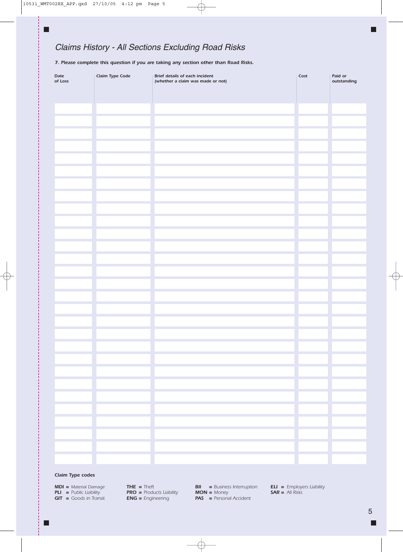# Claims History - All Sections Excluding Road Risks

*7. Please complete this question if you are taking any section other than Road Risks.*

| Date<br>of Loss | Claim Type Code | Brief details of each incident<br>(whether a claim was made or not) | $\mathsf{Cost}$ | Paid or<br>outstanding |
|-----------------|-----------------|---------------------------------------------------------------------|-----------------|------------------------|
|                 |                 |                                                                     |                 |                        |
|                 |                 |                                                                     |                 |                        |
|                 |                 |                                                                     |                 |                        |
|                 |                 |                                                                     |                 |                        |
|                 |                 |                                                                     |                 |                        |
|                 |                 |                                                                     |                 |                        |
|                 |                 |                                                                     |                 |                        |
|                 |                 |                                                                     |                 |                        |
|                 |                 |                                                                     |                 |                        |
|                 |                 |                                                                     |                 |                        |
|                 |                 |                                                                     |                 |                        |
|                 |                 |                                                                     |                 |                        |
|                 |                 |                                                                     |                 |                        |
|                 |                 |                                                                     |                 |                        |
|                 |                 |                                                                     |                 |                        |
|                 |                 |                                                                     |                 |                        |
|                 |                 |                                                                     |                 |                        |
|                 |                 |                                                                     |                 |                        |
|                 |                 |                                                                     |                 |                        |
|                 |                 |                                                                     |                 |                        |
|                 |                 |                                                                     |                 |                        |
|                 |                 |                                                                     |                 |                        |
|                 |                 |                                                                     |                 |                        |
|                 |                 |                                                                     |                 |                        |
|                 |                 |                                                                     |                 |                        |
|                 |                 |                                                                     |                 |                        |
|                 |                 |                                                                     |                 |                        |

#### *Claim Type codes*

П

**MDI** = *Material Damage* **THE** = Theft<br> **PLI** = *Public Liability* **PRO** = *Products Liability* **MON** = Money **SAR** = All Risks<br> **GIT** = Goods in Transit **ENG** = Engineering **PAS** = Personal Accident *PLI = Public Liability PRO = Products Liability MON = Money SAR = All Risks GIT = Goods in Transit ENG = Engineering PAS = Personal Accident*

Æ

5

П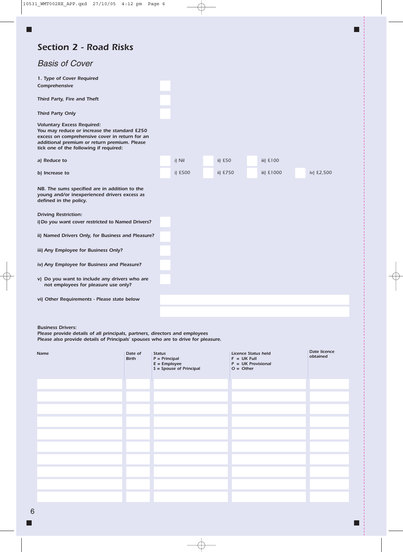### *Section 2 - Road Risks*

|  | <b>Basis of Cover</b> |
|--|-----------------------|
|  |                       |

*1. Type of Cover Required Comprehensive*

*Third Party, Fire and Theft* 

*Third Party Only* 

*Voluntary Excess Required: You may reduce or increase the standard £250 excess on comprehensive cover in return for an additional premium or return premium. Please tick one of the following if required:*

*a) Reduce to b) Increase to i) Nil ii) £50 iii) £100 i) £500 ii) £750 iii) £1000 iv) £2,500* ┓

П

*NB. The sums specified are in addition to the young and/or inexperienced drivers excess as defined in the policy.*

*Driving Restriction: i)Do you want cover restricted to Named Drivers?*

*ii) Named Drivers Only, for Business and Pleasure?*

*iii) Any Employee for Business Only?*

*iv) Any Employee for Business and Pleasure?*

*v) Do you want to include any drivers who are not employees for pleasure use only?*

*vi) Other Requirements - Please state below*

*Business Drivers:*

*Please provide details of all principals, partners, directors and employees Please also provide details of Principals' spouses who are to drive for pleasure.*

| Name | Date of<br><b>Birth</b> | <b>Status</b><br>$P = Principal$<br>$E =$ Employee<br>$S =$ Spouse of Principal | <b>Licence Status held</b><br>$F = UK Full$<br>$P = UK$ Provisional<br>$O = Other$ | Date licence<br>obtained |
|------|-------------------------|---------------------------------------------------------------------------------|------------------------------------------------------------------------------------|--------------------------|
|      |                         |                                                                                 |                                                                                    |                          |
|      |                         |                                                                                 |                                                                                    |                          |
|      |                         |                                                                                 |                                                                                    |                          |
|      |                         |                                                                                 |                                                                                    |                          |
|      |                         |                                                                                 |                                                                                    |                          |
|      |                         |                                                                                 |                                                                                    |                          |
|      |                         |                                                                                 |                                                                                    |                          |
|      |                         |                                                                                 |                                                                                    |                          |
|      |                         |                                                                                 |                                                                                    |                          |
|      |                         |                                                                                 |                                                                                    |                          |
|      |                         |                                                                                 |                                                                                    |                          |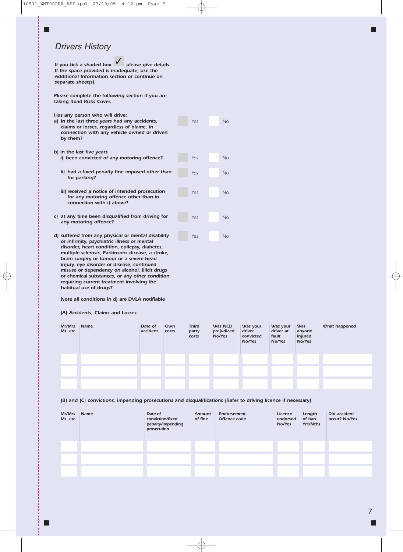### Drivers History

 $\blacksquare$ 

If you tick a shaded box **please give details.** *If the space provided is inadequate, use the Additional Information section or continue on separate sheet(s).* ✓

*Please complete the following section if you are taking Road Risks Cover.*

| Has any person who will drive:<br>a) in the last three years had any accidents,<br>claims or losses, regardless of blame, in<br>connection with any vehicle owned or driven<br>by them?                  | Yes | No |
|----------------------------------------------------------------------------------------------------------------------------------------------------------------------------------------------------------|-----|----|
| b) in the last five years<br>i) been convicted of any motoring offence?                                                                                                                                  | Yes | No |
| ii) had a fixed penalty fine imposed other than<br>for parking?                                                                                                                                          | Yes | No |
| iii) received a notice of intended prosecution<br>for any motoring offence other than in<br>connection with i) above?                                                                                    | Yes | No |
| c) at any time been disqualified from driving for<br>any motoring offence?                                                                                                                               | Yes | No |
| d) suffered from any physical or mental disability<br>or infirmity, psychiatric illness or mental<br>disorder, heart condition, epilepsy, diabetes,<br>multiple sclerosis, Parkinsons disease, a stroke, | Yes | No |

*brain surgery or tumour or a severe head injury, eye disorder or disease, continued misuse or dependency on alcohol, illicit drugs or chemical substances, or any other condition requiring current treatment involving the*

*Note all conditions in d) are DVLA notifiable*

#### *(A) Accidents, Claims and Losses*

*habitual use of drugs?*

П

| Mr/Mrs<br>Ms. etc. | Name | Date of<br>accident | Own<br>costs | <b>Third</b><br>party<br>costs | Was NCD<br>prejudiced<br>No/Yes | Was your<br>driver<br>convicted<br>No/Yes | Was your<br>driver at<br>fault<br>No/Yes | Was<br>anyone<br>injured<br>No/Yes | What happened |
|--------------------|------|---------------------|--------------|--------------------------------|---------------------------------|-------------------------------------------|------------------------------------------|------------------------------------|---------------|
|                    |      |                     |              |                                |                                 |                                           |                                          |                                    |               |
|                    |      |                     |              |                                |                                 |                                           |                                          |                                    |               |
|                    |      |                     |              |                                |                                 |                                           |                                          |                                    |               |

*(B) and (C) convictions, impending prosecutions and disqualifications (Refer to driving licence if necessary)*

| Mr/Mrs<br>Ms. etc. | <b>Name</b> | Date of<br>conviction/fixed<br>penalty/impending<br>prosecution | <b>Amount</b><br>of fine | Endorsement<br>Offence code | Licence<br>endorsed<br>No/Yes | Length<br>of ban<br><b>Yrs/Mths</b> | Did accident<br>occur? No/Yes |
|--------------------|-------------|-----------------------------------------------------------------|--------------------------|-----------------------------|-------------------------------|-------------------------------------|-------------------------------|
|                    |             |                                                                 |                          |                             |                               |                                     |                               |
|                    |             |                                                                 |                          |                             |                               |                                     |                               |
|                    |             |                                                                 |                          |                             |                               |                                     |                               |

 $\oplus$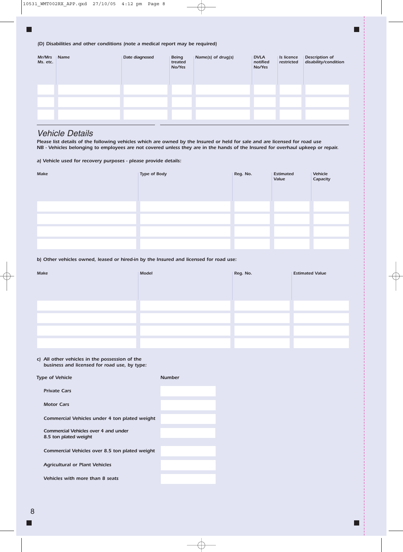П

#### *(D) Disabilities and other conditions (note a medical report may be required)*

| Mr/Mrs<br>Ms. etc. | Name | Date diagnosed | <b>Being</b><br>treated<br>No/Yes | Name(s) of drug(s) | <b>DVLA</b><br>notified<br>No/Yes | Is licence<br>restricted | Description of<br>disability/condition |
|--------------------|------|----------------|-----------------------------------|--------------------|-----------------------------------|--------------------------|----------------------------------------|
|                    |      |                |                                   |                    |                                   |                          |                                        |
|                    |      |                |                                   |                    |                                   |                          |                                        |
|                    |      |                |                                   |                    |                                   |                          |                                        |

П

 $\blacksquare$ 

#### Vehicle Details

*Please list details of the following vehicles which are owned by the Insured or held for sale and are licensed for road use NB - Vehicles belonging to employees are not covered unless they are in the hands of the Insured for overhaul upkeep or repair.*

*a) Vehicle used for recovery purposes - please provide details:*

| Make | <b>Type of Body</b> | Reg. No. | Estimated<br>Value | <b>Vehicle<br/>Capacity</b> |
|------|---------------------|----------|--------------------|-----------------------------|
|      |                     |          |                    |                             |
|      |                     |          |                    |                             |
|      |                     |          |                    |                             |
|      |                     |          |                    |                             |

*b) Other vehicles owned, leased or hired-in by the Insured and licensed for road use:*

| Make                                                                                           | <b>Model</b> |               | Reg. No. | <b>Estimated Value</b> |
|------------------------------------------------------------------------------------------------|--------------|---------------|----------|------------------------|
|                                                                                                |              |               |          |                        |
|                                                                                                |              |               |          |                        |
|                                                                                                |              |               |          |                        |
|                                                                                                |              |               |          |                        |
|                                                                                                |              |               |          |                        |
|                                                                                                |              |               |          |                        |
| c) All other vehicles in the possession of the<br>business and licensed for road use, by type: |              |               |          |                        |
| <b>Type of Vehicle</b>                                                                         |              | <b>Number</b> |          |                        |
| <b>Private Cars</b>                                                                            |              |               |          |                        |
| <b>Motor Cars</b>                                                                              |              |               |          |                        |
| Commercial Vehicles under 4 ton plated weight                                                  |              |               |          |                        |
| Commercial Vehicles over 4 and under<br>8.5 ton plated weight                                  |              |               |          |                        |

*Commercial Vehicles over 8.5 ton plated weight*

*Agricultural or Plant Vehicles*

*Vehicles with more than 8 seats*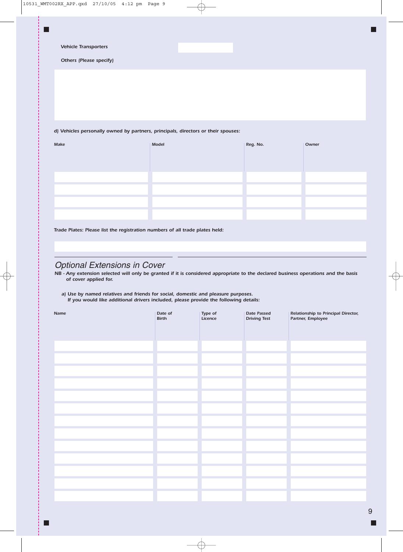*Vehicle Transporters*

П

П

*Others (Please specify)*

*d) Vehicles personally owned by partners, principals, directors or their spouses:*

| Make | Model | Reg. No. | Owner |
|------|-------|----------|-------|
|      |       |          |       |
|      |       |          |       |
|      |       |          |       |
|      |       |          |       |
|      |       |          |       |
|      |       |          |       |
|      |       |          |       |
|      |       |          |       |
|      |       |          |       |
|      |       |          |       |
|      |       |          |       |

*Trade Plates: Please list the registration numbers of all trade plates held:*

#### Optional Extensions in Cover

*NB - Any extension selected will only be granted if it is considered appropriate to the declared business operations and the basis of cover applied for.*

*a) Use by named relatives and friends for social, domestic and pleasure purposes. If you would like additional drivers included, please provide the following details:*

| Name | Date of<br><b>Birth</b> | Type of<br>Licence | <b>Date Passed</b><br><b>Driving Test</b> | Relationship to Principal Director,<br>Partner, Employee |
|------|-------------------------|--------------------|-------------------------------------------|----------------------------------------------------------|
|      |                         |                    |                                           |                                                          |
|      |                         |                    |                                           |                                                          |
|      |                         |                    |                                           |                                                          |
|      |                         |                    |                                           |                                                          |
|      |                         |                    |                                           |                                                          |
|      |                         |                    |                                           |                                                          |
|      |                         |                    |                                           |                                                          |
|      |                         |                    |                                           |                                                          |
|      |                         |                    |                                           |                                                          |
|      |                         |                    |                                           |                                                          |
|      |                         |                    |                                           |                                                          |
|      |                         |                    |                                           |                                                          |
|      |                         |                    |                                           |                                                          |
|      |                         |                    |                                           |                                                          |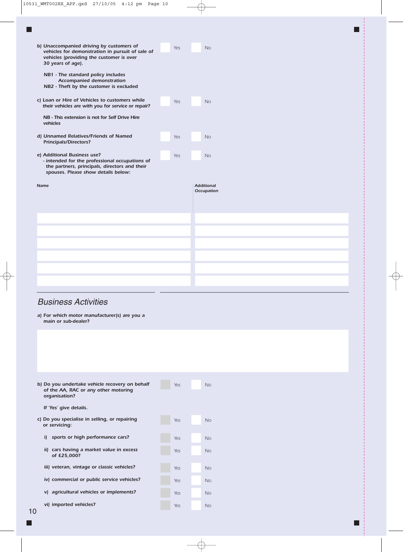| b) Unaccompanied driving by customers of<br><b>No</b><br>Yes<br>vehicles for demonstration in pursuit of sale of<br>vehicles (providing the customer is over<br>30 years of age).<br>NB1 - The standard policy includes<br>Accompanied demonstration<br>NB2 - Theft by the customer is excluded<br>c) Loan or Hire of Vehicles to customers while<br>Yes<br><b>No</b><br>their vehicles are with you for service or repair?<br>NB - This extension is not for Self Drive Hire<br>vehicles<br>d) Unnamed Relatives/Friends of Named<br>Yes<br><b>No</b><br><b>Principals/Directors?</b><br>e) Additional Business use?<br>Yes<br><b>No</b><br>- intended for the professional occupations of<br>the partners, principals, directors and their |
|----------------------------------------------------------------------------------------------------------------------------------------------------------------------------------------------------------------------------------------------------------------------------------------------------------------------------------------------------------------------------------------------------------------------------------------------------------------------------------------------------------------------------------------------------------------------------------------------------------------------------------------------------------------------------------------------------------------------------------------------|
|                                                                                                                                                                                                                                                                                                                                                                                                                                                                                                                                                                                                                                                                                                                                              |
|                                                                                                                                                                                                                                                                                                                                                                                                                                                                                                                                                                                                                                                                                                                                              |
|                                                                                                                                                                                                                                                                                                                                                                                                                                                                                                                                                                                                                                                                                                                                              |
|                                                                                                                                                                                                                                                                                                                                                                                                                                                                                                                                                                                                                                                                                                                                              |
|                                                                                                                                                                                                                                                                                                                                                                                                                                                                                                                                                                                                                                                                                                                                              |
| spouses. Please show details below:                                                                                                                                                                                                                                                                                                                                                                                                                                                                                                                                                                                                                                                                                                          |
| <b>Additional</b><br><b>Name</b><br>Occupation                                                                                                                                                                                                                                                                                                                                                                                                                                                                                                                                                                                                                                                                                               |
|                                                                                                                                                                                                                                                                                                                                                                                                                                                                                                                                                                                                                                                                                                                                              |
|                                                                                                                                                                                                                                                                                                                                                                                                                                                                                                                                                                                                                                                                                                                                              |
|                                                                                                                                                                                                                                                                                                                                                                                                                                                                                                                                                                                                                                                                                                                                              |
|                                                                                                                                                                                                                                                                                                                                                                                                                                                                                                                                                                                                                                                                                                                                              |
|                                                                                                                                                                                                                                                                                                                                                                                                                                                                                                                                                                                                                                                                                                                                              |

 $\overline{\varphi}$ 

 $\blacksquare$ 

 $\overline{\varphi}$ 

# Business Activities

*a) For which motor manufacturer(s) are you a main or sub-dealer?*

| b) Do you undertake vehicle recovery on behalf<br>of the AA, RAC or any other motoring<br>organisation? | Yes | $N_{\Omega}$   |
|---------------------------------------------------------------------------------------------------------|-----|----------------|
| If 'Yes' give details.                                                                                  |     |                |
| c) Do you specialise in selling, or repairing<br>or servicing:                                          | Yes | $N_{\Omega}$   |
| i)<br>sports or high performance cars?                                                                  | Yes | <b>No</b>      |
| ii) cars having a market value in excess<br>of £25,000?                                                 | Yes | $N_{\Omega}$   |
| iii) veteran, vintage or classic vehicles?                                                              | Yes | N <sub>0</sub> |
| iv) commercial or public service vehicles?                                                              | Yes | NΩ             |
| v) agricultural vehicles or implements?                                                                 | Yes | N <sub>0</sub> |
| vi) imported vehicles?                                                                                  | Yes | NΩ             |

10  $\blacksquare$ 

 $\overline{\mathbb{Q}}$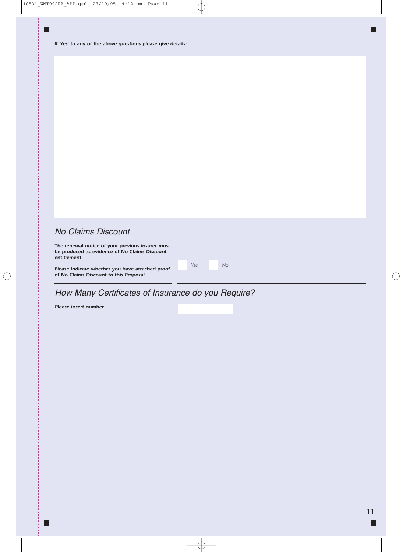П

*If 'Yes' to any of the above questions please give details:*

### No Claims Discount

*The renewal notice of your previous insurer must be produced as evidence of No Claims Discount entitlement.*

*Please indicate whether you have attached proof of No Claims Discount to this Proposal*

How Many Certificates of Insurance do you Require?

*Yes No*

*Please insert number*

П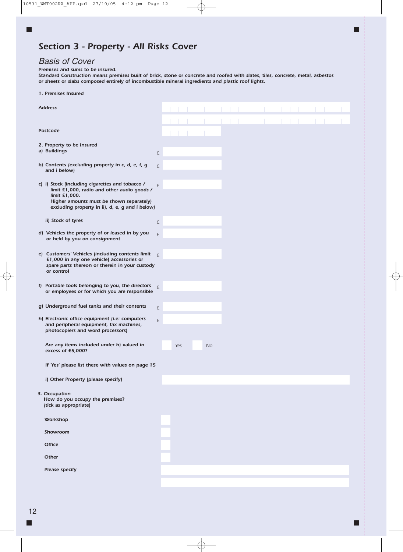| Section 3 - Property - All Risks Cover |  |  |  |
|----------------------------------------|--|--|--|
|----------------------------------------|--|--|--|

### Basis of Cover

 $\blacksquare$ 

*Premises and sums to be insured.*

*Standard Construction means premises built of brick, stone or concrete and roofed with slates, tiles, concrete, metal, asbestos or sheets or slabs composed entirely of incombustible mineral ingredients and plastic roof lights.*

 $\oplus$ 

 $\blacksquare$ 

 $\blacksquare$ 

| 1. Premises Insured                                                                                                                                                                                            |               |     |                           |           |  |  |  |  |  |  |  |  |
|----------------------------------------------------------------------------------------------------------------------------------------------------------------------------------------------------------------|---------------|-----|---------------------------|-----------|--|--|--|--|--|--|--|--|
| <b>Address</b>                                                                                                                                                                                                 |               |     |                           |           |  |  |  |  |  |  |  |  |
|                                                                                                                                                                                                                |               |     |                           |           |  |  |  |  |  |  |  |  |
| Postcode                                                                                                                                                                                                       |               |     | $-1$ - $-1$ - $-1$ - $-1$ |           |  |  |  |  |  |  |  |  |
| 2. Property to be Insured<br>a) Buildings                                                                                                                                                                      | £             |     |                           |           |  |  |  |  |  |  |  |  |
| b) Contents (excluding property in c, d, e, f, g                                                                                                                                                               | £             |     |                           |           |  |  |  |  |  |  |  |  |
| and i below)                                                                                                                                                                                                   |               |     |                           |           |  |  |  |  |  |  |  |  |
| c) i) Stock (including cigarettes and tobacco /<br>limit £1,000, radio and other audio goods /<br>limit £1,000.<br>Higher amounts must be shown separately)<br>excluding property in ii), d, e, g and i below) | £             |     |                           |           |  |  |  |  |  |  |  |  |
| ii) Stock of tyres                                                                                                                                                                                             | £             |     |                           |           |  |  |  |  |  |  |  |  |
| d) Vehicles the property of or leased in by you<br>or held by you on consignment                                                                                                                               | £             |     |                           |           |  |  |  |  |  |  |  |  |
| e) Customers' Vehicles (including contents limit<br>£1,000 in any one vehicle) accessories or<br>spare parts thereon or therein in your custody<br>or control                                                  | $\mathcal{F}$ |     |                           |           |  |  |  |  |  |  |  |  |
| f) Portable tools belonging to you, the directors<br>E<br>or employees or for which you are responsible                                                                                                        |               |     |                           |           |  |  |  |  |  |  |  |  |
| g) Underground fuel tanks and their contents                                                                                                                                                                   | £             |     |                           |           |  |  |  |  |  |  |  |  |
| h) Electronic office equipment (i.e: computers<br>and peripheral equipment, fax machines,<br>photocopiers and word processors)                                                                                 | £             |     |                           |           |  |  |  |  |  |  |  |  |
| Are any items included under h) valued in<br>excess of £5,000?                                                                                                                                                 |               | Yes |                           | <b>No</b> |  |  |  |  |  |  |  |  |
| If 'Yes' please list these with values on page 15                                                                                                                                                              |               |     |                           |           |  |  |  |  |  |  |  |  |
| i) Other Property (please specify)                                                                                                                                                                             |               |     |                           |           |  |  |  |  |  |  |  |  |
| 3. Occupation<br>How do you occupy the premises?<br>(tick as appropriate)                                                                                                                                      |               |     |                           |           |  |  |  |  |  |  |  |  |
| <b>Workshop</b>                                                                                                                                                                                                |               |     |                           |           |  |  |  |  |  |  |  |  |
| <b>Showroom</b>                                                                                                                                                                                                |               |     |                           |           |  |  |  |  |  |  |  |  |
| <b>Office</b>                                                                                                                                                                                                  |               |     |                           |           |  |  |  |  |  |  |  |  |
| <b>Other</b>                                                                                                                                                                                                   |               |     |                           |           |  |  |  |  |  |  |  |  |
| Please specify                                                                                                                                                                                                 |               |     |                           |           |  |  |  |  |  |  |  |  |
|                                                                                                                                                                                                                |               |     |                           |           |  |  |  |  |  |  |  |  |
|                                                                                                                                                                                                                |               |     |                           |           |  |  |  |  |  |  |  |  |

 $\bigoplus$ 

12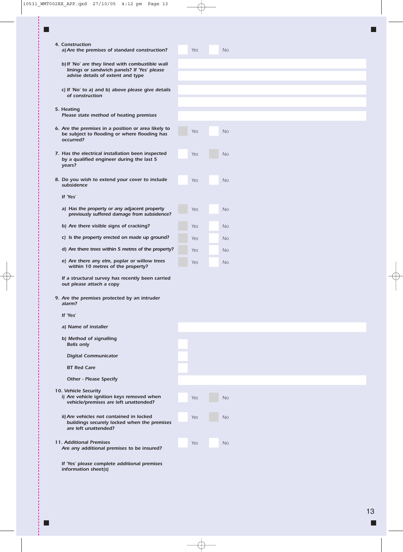€

 $\blacksquare$ 

| 4. Construction                                        |                                                                                                |     |           |  |
|--------------------------------------------------------|------------------------------------------------------------------------------------------------|-----|-----------|--|
|                                                        | a) Are the premises of standard construction?                                                  | Yes | <b>No</b> |  |
|                                                        | b) If 'No' are they lined with combustible wall<br>linings or sandwich panels? If 'Yes' please |     |           |  |
| advise details of extent and type                      |                                                                                                |     |           |  |
|                                                        | c) If 'No' to a) and b) above please give details                                              |     |           |  |
| of construction                                        |                                                                                                |     |           |  |
| 5. Heating                                             | Please state method of heating premises                                                        |     |           |  |
|                                                        | 6. Are the premises in a position or area likely to                                            |     |           |  |
| occurred?                                              | be subject to flooding or where flooding has                                                   | Yes | <b>No</b> |  |
|                                                        | 7. Has the electrical installation been inspected                                              | Yes | <b>No</b> |  |
| years?                                                 | by a qualified engineer during the last 5                                                      |     |           |  |
| subsidence                                             | 8. Do you wish to extend your cover to include                                                 | Yes | <b>No</b> |  |
| If 'Yes'                                               |                                                                                                |     |           |  |
|                                                        | a) Has the property or any adjacent property<br>previously suffered damage from subsidence?    | Yes | <b>No</b> |  |
| b) Are there visible signs of cracking?                |                                                                                                | Yes | <b>No</b> |  |
|                                                        | c) Is the property erected on made up ground?                                                  | Yes | <b>No</b> |  |
|                                                        | d) Are there trees within 5 metres of the property?                                            | Yes | <b>No</b> |  |
| within 10 metres of the property?                      | e) Are there any elm, poplar or willow trees                                                   | Yes | <b>No</b> |  |
| out please attach a copy                               | If a structural survey has recently been carried                                               |     |           |  |
| 9. Are the premises protected by an intruder<br>alarm? |                                                                                                |     |           |  |
| If 'Yes'                                               |                                                                                                |     |           |  |
| a) Name of installer                                   |                                                                                                |     |           |  |
| b) Method of signalling<br><b>Bells only</b>           |                                                                                                |     |           |  |
| <b>Digital Communicator</b>                            |                                                                                                |     |           |  |
| <b>BT Red Care</b>                                     |                                                                                                |     |           |  |
| <b>Other - Please Specify</b>                          |                                                                                                |     |           |  |
| 10. Vehicle Security                                   |                                                                                                |     |           |  |
|                                                        | i) Are vehicle ignition keys removed when<br>vehicle/premises are left unattended?             | Yes | <b>No</b> |  |
| ii) Are vehicles not contained in locked               |                                                                                                | Yes | No        |  |
| are left unattended?                                   | buildings securely locked when the premises                                                    |     |           |  |
| 11. Additional Premises                                |                                                                                                | Yes | <b>No</b> |  |
|                                                        | Are any additional premises to be insured?                                                     |     |           |  |
| information sheet(s)                                   | If 'Yes' please complete additional premises                                                   |     |           |  |

 $\overline{\bigoplus}$ 

 $\phi$ Ξ

13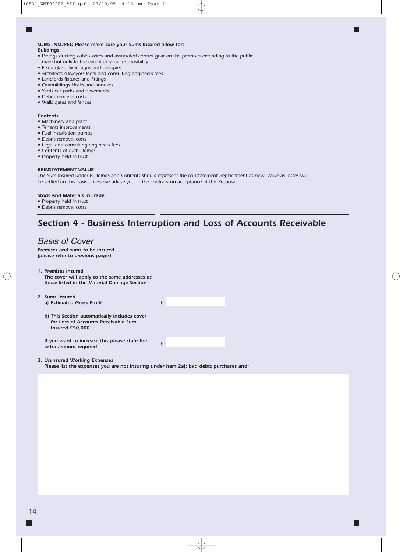#### *SUMS INSURED Please make sure your Sums Insured allow for:*

- *Buildings*
- *Pipings ducting cables wires and associated control gear on the premises extending to the public main but only to the extent of your responsibility*
- *Fixed glass, fixed signs and canopies*
- 
- *Architects surveyors legal and consulting engineers fees • Landlords fixtures and fittings*
- 
- *Outbuildings kiosks and annexes*
- *Yards car parks and pavements*
- *Debris removal costs*
- *Walls gates and fences*

#### *Contents*

- *Machinery and plant*
- *Tenants improvements*
- *Fuel installation pumps*
- *Debris removal costs*
- *Legal and consulting engineers fees*
- *Contents of outbuildings*
- *Property held in trust*

#### *REINSTATEMENT VALUE*

The Sum Insured under Buildings and Contents should represent the reinstatement (replacement as new) value as losses will *be settled on this basis unless we advise you to the contrary on acceptance of this Proposal.*

#### *Stock And Materials In Trade*

*• Property held in trust*

*• Debris removal costs*

### *Section 4 - Business Interruption and Loss of Accounts Receivable*

┓

П

#### Basis of Cover

*Premises and sums to be insured (please refer to previous pages)*

#### *1. Premises Insured*

*The cover will apply to the same addresses as those listed in the Material Damage Section*

| 2. Sums Insured<br>a) Estimated Gross Profit                                                                   | £ |  |
|----------------------------------------------------------------------------------------------------------------|---|--|
| b) This Section automatically includes cover<br>for Loss of Accounts Receivable Sum<br><b>Insured £50,000.</b> |   |  |

*If you want to increase this please state the extra amount required a a nease state the*  $\frac{1}{2}$ 

#### *3. Uninsured Working Expenses*

*Please list the expenses you are not insuring under item 2a): bad debts purchases and:*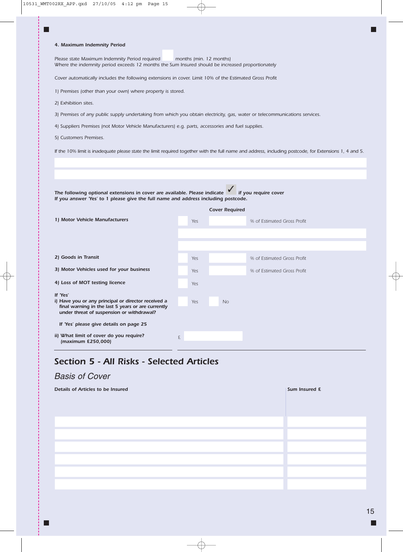| 4. Maximum Indemnity Period                                                                                                                        |                                                                                                                                                        |  |
|----------------------------------------------------------------------------------------------------------------------------------------------------|--------------------------------------------------------------------------------------------------------------------------------------------------------|--|
| Please state Maximum Indemnity Period required<br>Where the indemnity period exceeds 12 months the Sum Insured should be increased proportionately | months (min. 12 months)                                                                                                                                |  |
| Cover automatically includes the following extensions in cover. Limit 10% of the Estimated Gross Profit                                            |                                                                                                                                                        |  |
| 1) Premises (other than your own) where property is stored.                                                                                        |                                                                                                                                                        |  |
| 2) Exhibition sites.                                                                                                                               |                                                                                                                                                        |  |
|                                                                                                                                                    | 3) Premises of any public supply undertaking from which you obtain electricity, gas, water or telecommunications services.                             |  |
| 4) Suppliers Premises (not Motor Vehicle Manufacturers) e.g. parts, accessories and fuel supplies.                                                 |                                                                                                                                                        |  |
|                                                                                                                                                    |                                                                                                                                                        |  |
| 5) Customers Premises.                                                                                                                             |                                                                                                                                                        |  |
| The following optional extensions in cover are available. Please indicate $\bullet$ if you require cover                                           | If the 10% limit is inadequate please state the limit required together with the full name and address, including postcode, for Extensions 1, 4 and 5. |  |
| If you answer 'Yes' to 1 please give the full name and address including postcode.                                                                 | <b>Cover Required</b>                                                                                                                                  |  |
| 1) Motor Vehicle Manufacturers                                                                                                                     | Yes<br>% of Estimated Gross Profit                                                                                                                     |  |
|                                                                                                                                                    |                                                                                                                                                        |  |
|                                                                                                                                                    |                                                                                                                                                        |  |
| 2) Goods in Transit                                                                                                                                | % of Estimated Gross Profit<br>Yes                                                                                                                     |  |
| 3) Motor Vehicles used for your business                                                                                                           | % of Estimated Gross Profit<br>Yes                                                                                                                     |  |
| 4) Loss of MOT testing licence                                                                                                                     | Yes                                                                                                                                                    |  |
| If 'Yes'<br>i) Have you or any principal or director received a                                                                                    | <b>No</b><br>Yes                                                                                                                                       |  |

# *Section 5 - All Risks - Selected Articles*

### Basis of Cover

 $\blacksquare$ 

*Details of Articles to be Insured Sum Insured £*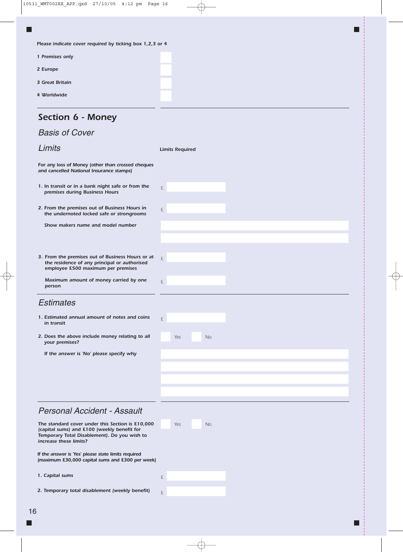| 531_WMT002RX_APP.qxd 27/10/05 4:12 pm Page 16                                                                                          |                           |
|----------------------------------------------------------------------------------------------------------------------------------------|---------------------------|
|                                                                                                                                        |                           |
| Please indicate cover required by ticking box 1,2,3 or 4                                                                               |                           |
| 1 Premises only                                                                                                                        |                           |
| 2 Europe                                                                                                                               |                           |
| 3 Great Britain                                                                                                                        |                           |
| 4 Worldwide                                                                                                                            |                           |
| <b>Section 6 - Money</b>                                                                                                               |                           |
| <b>Basis of Cover</b>                                                                                                                  |                           |
| Limits                                                                                                                                 | <b>Limits Required</b>    |
| For any loss of Money (other than crossed cheques<br>and cancelled National Insurance stamps)                                          |                           |
| 1. In transit or in a bank night safe or from the<br>premises during Business Hours                                                    | $\boldsymbol{\mathsf{E}}$ |
| 2. From the premises out of Business Hours in<br>the undernoted locked safe or strongrooms                                             | £                         |
| Show makers name and model number                                                                                                      |                           |
|                                                                                                                                        |                           |
| 3. From the premises out of Business Hours or at<br>the residence of any principal or authorised<br>employee £500 maximum per premises | £                         |
| Maximum amount of money carried by one<br>person                                                                                       | £                         |
| <b>Estimates</b>                                                                                                                       |                           |
| 1. Estimated annual amount of notes and coins<br>in transit                                                                            | £                         |
| 2. Does the above include money relating to all<br>your premises?                                                                      | Yes<br><b>No</b>          |
| If the answer is 'No' please specify why                                                                                               |                           |
|                                                                                                                                        |                           |
|                                                                                                                                        |                           |
|                                                                                                                                        |                           |
|                                                                                                                                        |                           |

| Personal Accident - Assault                                                                                                                                               |   |     |    |
|---------------------------------------------------------------------------------------------------------------------------------------------------------------------------|---|-----|----|
| The standard cover under this Section is £10,000<br>(capital sums) and £100 (weekly benefit for<br>Temporary Total Disablement). Do you wish to<br>increase these limits? |   | Yes | No |
| If the answer is 'Yes' please state limits required<br>(maximum £30,000 capital sums and £300 per week)                                                                   |   |     |    |
| 1. Capital sums                                                                                                                                                           | £ |     |    |
| 2. Temporary total disablement (weekly benefit)                                                                                                                           | £ |     |    |

 $\overline{\bigoplus}$ 

 $\blacksquare$ 

 $\downarrow$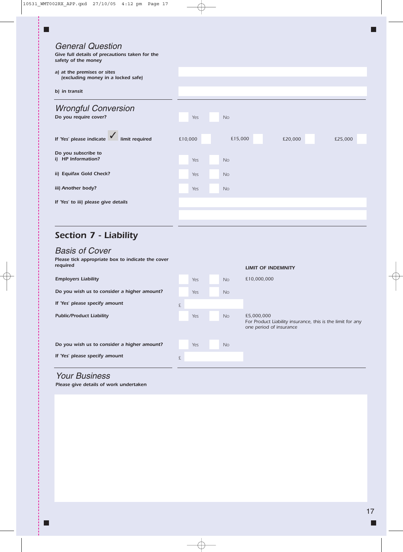| <b>General Question</b><br>Give full details of precautions taken for the<br>safety of the money |         |           |         |         |
|--------------------------------------------------------------------------------------------------|---------|-----------|---------|---------|
| a) at the premises or sites<br>(excluding money in a locked safe)                                |         |           |         |         |
| b) in transit                                                                                    |         |           |         |         |
| <b>Wrongful Conversion</b><br>Do you require cover?                                              | Yes     | No        |         |         |
| If 'Yes' please indicate in limit required                                                       | £10,000 | £15,000   | £20,000 | £25,000 |
| Do you subscribe to<br>i) HP Information?                                                        | Yes     | <b>No</b> |         |         |
| ii) Equifax Gold Check?                                                                          | Yes     | <b>No</b> |         |         |
| iii) Another body?                                                                               | Yes     | <b>No</b> |         |         |
| If 'Yes' to iii) please give details                                                             |         |           |         |         |
|                                                                                                  |         |           |         |         |

# *Section 7 - Liability*

### Basis of Cover

*Please tick appropriate box to indicate the cover*

| required                                    |   |     |           | <b>LIMIT OF INDEMNITY</b>                                                |
|---------------------------------------------|---|-----|-----------|--------------------------------------------------------------------------|
| <b>Employers Liability</b>                  |   | Yes | <b>No</b> | £10,000,000                                                              |
| Do you wish us to consider a higher amount? |   | Yes | <b>No</b> |                                                                          |
| If 'Yes' please specify amount              | £ |     |           |                                                                          |
| <b>Public/Product Liability</b>             |   | Yes | <b>No</b> | £5,000,000<br>For Product Liability insurance, this is the limit for any |
|                                             |   |     |           | one period of insurance                                                  |
| Do you wish us to consider a higher amount? |   | Yes | <b>No</b> |                                                                          |
| If 'Yes' please specify amount              | £ |     |           |                                                                          |

### Your Business

 $\blacksquare$ 

*Please give details of work undertaken*

 $\blacksquare$ 

∎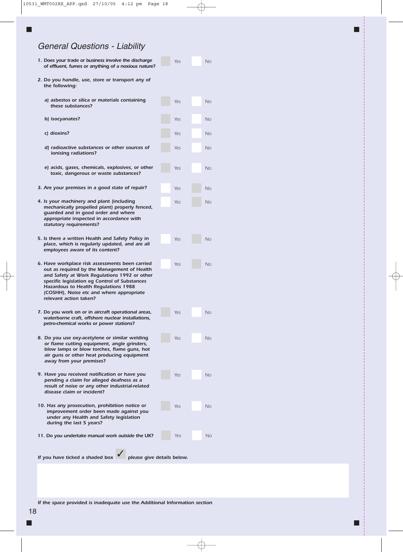| <b>General Questions - Liability</b>                                                                                                                                                                                                           |     |           |
|------------------------------------------------------------------------------------------------------------------------------------------------------------------------------------------------------------------------------------------------|-----|-----------|
| 1. Does your trade or business involve the discharge<br>of effluent, fumes or anything of a noxious nature?                                                                                                                                    | Yes | No        |
| 2. Do you handle, use, store or transport any of<br>the following:                                                                                                                                                                             |     |           |
| a) asbestos or silica or materials containing<br>these substances?                                                                                                                                                                             | Yes | <b>No</b> |
| b) isocyanates?                                                                                                                                                                                                                                | Yes | <b>No</b> |
| c) dioxins?                                                                                                                                                                                                                                    | Yes | <b>No</b> |
| d) radioactive substances or other sources of<br>ionising radiations?                                                                                                                                                                          | Yes | <b>No</b> |
| e) acids, gases, chemicals, explosives, or other<br>toxic, dangerous or waste substances?                                                                                                                                                      | Yes | <b>No</b> |
| 3. Are your premises in a good state of repair?                                                                                                                                                                                                | Yes | <b>No</b> |
| 4. Is your machinery and plant (including<br>mechanically propelled plant) properly fenced,<br>quarded and in good order and where<br>appropriate inspected in accordance with<br>statutory requirements?                                      | Yes | No        |
| 5. Is there a written Health and Safety Policy in<br>place, which is regularly updated, and are all<br>employees aware of its content?                                                                                                         | Yes | <b>No</b> |
| 6. Have workplace risk assessments been carried<br>out as required by the Management of Health<br>and Safety at Work Regulations 1992 or other<br>specific legislation eg Control of Substances<br><b>Hazardous to Health Regulations 1988</b> | Yes | <b>No</b> |

*Yes No*

П

П

*Yes No*

*Yes No*

*Yes No*

*relevant action taken? 7. Do you work on or in aircraft operational areas, waterborne craft, offshore nuclear installations, petro-chemical works or power stations?*

*(COSHH), Noise etc and where appropriate*

*8. Do you use oxy-acetylene or similar welding or flame cutting equipment, angle grinders, blow lamps or blow torches, flame guns, hot air guns or other heat producing equipment away from your premises?*

*9. Have you received notification or have you pending a claim for alleged deafness as a result of noise or any other industrial-related disease claim or incident?*

*10. Has any prosecution, prohibition notice or improvement order been made against you under any Health and Safety legislation during the last 5 years?*

*11. Do you undertake manual work outside the UK? Yes No*

**If you have ticked a shaded box** ● please give details below.

*If the space provided is inadequate use the Additional Information section*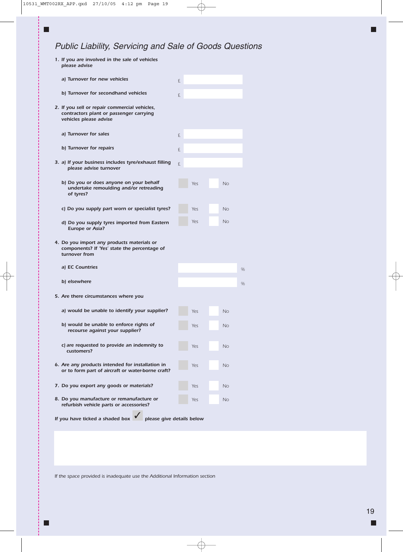| <b>Public Liability, Servicing and Sale of Goods Questions</b>                                                     |   |     |    |   |
|--------------------------------------------------------------------------------------------------------------------|---|-----|----|---|
| 1. If you are involved in the sale of vehicles<br>please advise                                                    |   |     |    |   |
| a) Turnover for new vehicles                                                                                       | £ |     |    |   |
| b) Turnover for secondhand vehicles                                                                                | £ |     |    |   |
| 2. If you sell or repair commercial vehicles,<br>contractors plant or passenger carrying<br>vehicles please advise |   |     |    |   |
| a) Turnover for sales                                                                                              | £ |     |    |   |
| b) Turnover for repairs                                                                                            | £ |     |    |   |
| 3. a) If your business includes tyre/exhaust filling<br>please advise turnover                                     | £ |     |    |   |
| b) Do you or does anyone on your behalf<br>undertake remoulding and/or retreading<br>of tyres?                     |   | Yes | Νo |   |
| c) Do you supply part worn or specialist tyres?                                                                    |   | Yes | Νo |   |
| d) Do you supply tyres imported from Eastern<br><b>Europe or Asia?</b>                                             |   | Yes | No |   |
| 4. Do you import any products materials or<br>components? If 'Yes' state the percentage of<br>turnover from        |   |     |    |   |
| a) EC Countries                                                                                                    |   |     |    | % |
| b) elsewhere                                                                                                       |   |     |    | % |
| 5. Are there circumstances where you                                                                               |   |     |    |   |
| a) would be unable to identify your supplier?                                                                      |   | Yes | Νo |   |
| b) would be unable to enforce rights of<br>recourse against your supplier?                                         |   | Yes | No |   |
| c) are requested to provide an indemnity to<br>customers?                                                          |   | Yes | No |   |
| 6. Are any products intended for installation in<br>or to form part of aircraft or water-borne craft?              |   | Yes | No |   |
| 7. Do you export any goods or materials?                                                                           |   | Yes | Νo |   |
| 8. Do you manufacture or remanufacture or<br>refurbish vehicle parts or accessories?                               |   | Yes | Νo |   |
| please give details below<br>If you have ticked a shaded box                                                       |   |     |    |   |

*If the space provided is inadequate use the Additional Information section*

 $\blacksquare$ 

 $\blacksquare$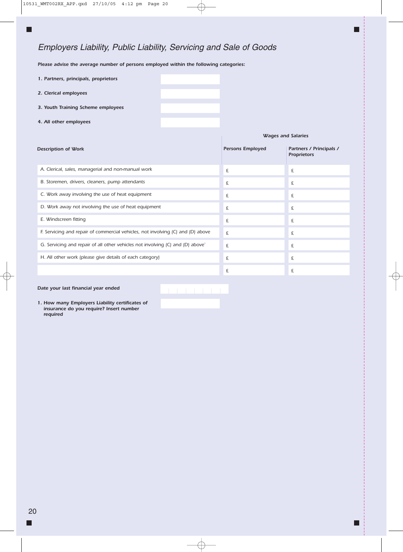### Employers Liability, Public Liability, Servicing and Sale of Goods

*Please advise the average number of persons employed within the following categories:*

- *1. Partners, principals, proprietors*
- *2. Clerical employees*

П

- *3. Youth Training Scheme employees*
- *4. All other employees*

#### *Description of Work A. Clerical, sales, managerial and non-manual work Wages and Salaries Persons Employed Partners / Principals / Proprietors B. Storemen, drivers, cleaners, pump attendants C. Work away involving the use of heat equipment D. Work away not involving the use of heat equipment E. Windscreen fitting F. Servicing and repair of commercial vehicles, not involving (C) and (D) above G. Servicing and repair of all other vehicles not involving (C) and (D) above` H. All other work (please give details of each category) £ £ £ £ £ £ £ £ £ £ £ £ £ £ £ £ £ £*

┓

П

#### *Date your last financial year ended*

*1. How many Employers Liability certificates of insurance do you require? Insert number required*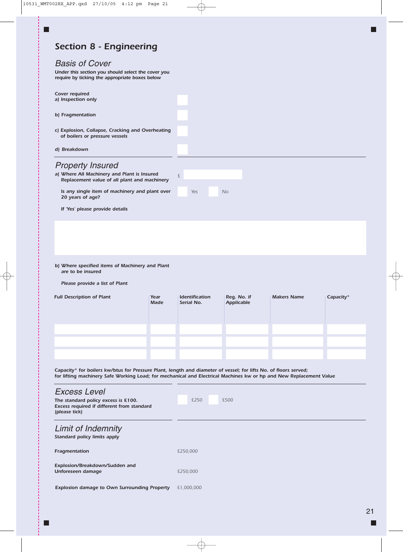| <b>Section 8 - Engineering</b> |  |  |
|--------------------------------|--|--|
|                                |  |  |

# Basis of Cover

 $\blacksquare$ 

 $\blacksquare$ 

| Under this section you should select the cover you<br>require by ticking the appropriate boxes below                                                                                                                                   |              |                              |                           |                    |           |
|----------------------------------------------------------------------------------------------------------------------------------------------------------------------------------------------------------------------------------------|--------------|------------------------------|---------------------------|--------------------|-----------|
| Cover required<br>a) Inspection only                                                                                                                                                                                                   |              |                              |                           |                    |           |
| b) Fragmentation                                                                                                                                                                                                                       |              |                              |                           |                    |           |
| c) Explosion, Collapse, Cracking and Overheating<br>of boilers or pressure vessels                                                                                                                                                     |              |                              |                           |                    |           |
| d) Breakdown                                                                                                                                                                                                                           |              |                              |                           |                    |           |
| <b>Property Insured</b><br>a) Where All Machinery and Plant is Insured<br>Replacement value of all plant and machinery                                                                                                                 |              | $\boldsymbol{\mathsf{E}}$    |                           |                    |           |
| Is any single item of machinery and plant over<br>20 years of age?                                                                                                                                                                     |              | Yes                          | <b>No</b>                 |                    |           |
| If 'Yes' please provide details                                                                                                                                                                                                        |              |                              |                           |                    |           |
|                                                                                                                                                                                                                                        |              |                              |                           |                    |           |
| b) Where specified items of Machinery and Plant<br>are to be insured                                                                                                                                                                   |              |                              |                           |                    |           |
| Please provide a list of Plant                                                                                                                                                                                                         |              |                              |                           |                    |           |
|                                                                                                                                                                                                                                        |              |                              |                           |                    |           |
| <b>Full Description of Plant</b>                                                                                                                                                                                                       | Year<br>Made | Identification<br>Serial No. | Reg. No. if<br>Applicable | <b>Makers Name</b> | Capacity* |
|                                                                                                                                                                                                                                        |              |                              |                           |                    |           |
|                                                                                                                                                                                                                                        |              |                              |                           |                    |           |
|                                                                                                                                                                                                                                        |              |                              |                           |                    |           |
| Capacity* for boilers kw/btus for Pressure Plant, length and diameter of vessel; for lifts No. of floors served;<br>for lifting machinery Safe Working Load; for mechanical and Electrical Machines kw or hp and New Replacement Value |              |                              |                           |                    |           |
| <b>Excess Level</b>                                                                                                                                                                                                                    |              |                              |                           |                    |           |
| The standard policy excess is £100.<br>Excess required if different from standard<br>(please tick)                                                                                                                                     |              | £250                         | £500                      |                    |           |
| Limit of Indemnity<br><b>Standard policy limits apply</b>                                                                                                                                                                              |              |                              |                           |                    |           |
| Fragmentation                                                                                                                                                                                                                          |              | £250,000                     |                           |                    |           |
| Explosion/Breakdown/Sudden and<br>Unforeseen damage                                                                                                                                                                                    |              | £250,000                     |                           |                    |           |

€

 $\blacksquare$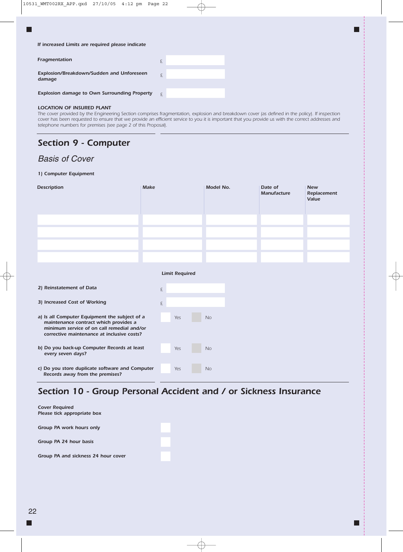*If increased Limits are required please indicate*

| <b>Fragmentation</b>                                | £            |
|-----------------------------------------------------|--------------|
| Explosion/Breakdown/Sudden and Unforeseen<br>damage |              |
| <b>Explosion damage to Own Surrounding Property</b> | $\mathsf{C}$ |

#### *LOCATION OF INSURED PLANT*

*The cover provided by the Engineering Section comprises fragmentation, explosion and breakdown cover (as defined in the policy). If inspection cover has been requested to ensure that we provide an efficient service to you it is important that you provide us with the correct addresses and telephone numbers for premises (see page 2 of this Proposal).*

П

П

### *Section 9 - Computer*

### Basis of Cover

#### *1) Computer Equipment*

| <b>Description</b>                                                                                                                                                                 | <b>Make</b> |   |                       | Model No. | Date of<br>Manufacture | <b>New</b><br>Replacement<br>Value |
|------------------------------------------------------------------------------------------------------------------------------------------------------------------------------------|-------------|---|-----------------------|-----------|------------------------|------------------------------------|
|                                                                                                                                                                                    |             |   |                       |           |                        |                                    |
|                                                                                                                                                                                    |             |   |                       |           |                        |                                    |
|                                                                                                                                                                                    |             |   |                       |           |                        |                                    |
|                                                                                                                                                                                    |             |   |                       |           |                        |                                    |
|                                                                                                                                                                                    |             |   | <b>Limit Required</b> |           |                        |                                    |
| 2) Reinstatement of Data                                                                                                                                                           |             | £ |                       |           |                        |                                    |
| 3) Increased Cost of Working                                                                                                                                                       |             | £ |                       |           |                        |                                    |
| a) Is all Computer Equipment the subject of a<br>maintenance contract which provides a<br>minimum service of on call remedial and/or<br>corrective maintenance at inclusive costs? |             |   | Yes                   | <b>No</b> |                        |                                    |
| b) Do you back-up Computer Records at least<br>every seven days?                                                                                                                   |             |   | Yes                   | <b>No</b> |                        |                                    |
| c) Do you store duplicate software and Computer<br>Records away from the premises?                                                                                                 |             |   | Yes                   | <b>No</b> |                        |                                    |

### *Section 10 - Group Personal Accident and / or Sickness Insurance*

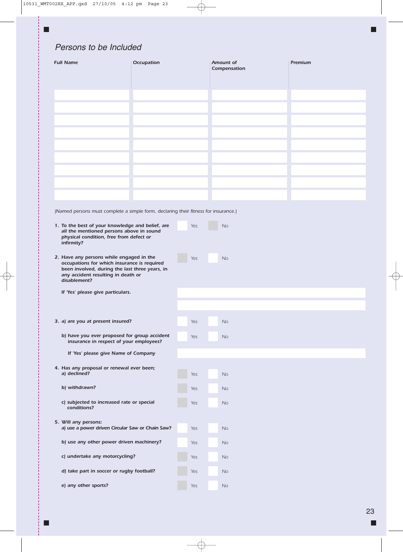$\blacksquare$ 

### Persons to be Included

| <b>Full Name</b>                                                                                                                                                                                | Occupation |     | Amount of<br>Compensation | Premium |
|-------------------------------------------------------------------------------------------------------------------------------------------------------------------------------------------------|------------|-----|---------------------------|---------|
|                                                                                                                                                                                                 |            |     |                           |         |
|                                                                                                                                                                                                 |            |     |                           |         |
|                                                                                                                                                                                                 |            |     |                           |         |
|                                                                                                                                                                                                 |            |     |                           |         |
|                                                                                                                                                                                                 |            |     |                           |         |
|                                                                                                                                                                                                 |            |     |                           |         |
|                                                                                                                                                                                                 |            |     |                           |         |
|                                                                                                                                                                                                 |            |     |                           |         |
|                                                                                                                                                                                                 |            |     |                           |         |
| (Named persons must complete a simple form, declaring their fitness for insurance.)                                                                                                             |            |     |                           |         |
| 1. To the best of your knowledge and belief, are                                                                                                                                                |            | Yes | <b>No</b>                 |         |
| all the mentioned persons above in sound<br>physical condition, free from defect or<br>infirmity?                                                                                               |            |     |                           |         |
| 2. Have any persons while engaged in the<br>occupations for which insurance is required<br>been involved, during the last three years, in<br>any accident resulting in death or<br>disablement? |            | Yes | <b>No</b>                 |         |
| If 'Yes' please give particulars.                                                                                                                                                               |            |     |                           |         |
|                                                                                                                                                                                                 |            |     |                           |         |
| 3. a) are you at present insured?                                                                                                                                                               |            | Yes | <b>No</b>                 |         |
| b) have you ever proposed for group accident<br>insurance in respect of your employees?                                                                                                         |            | Yes | <b>No</b>                 |         |
| If 'Yes' please give Name of Company                                                                                                                                                            |            |     |                           |         |
| 4. Has any proposal or renewal ever been;<br>a) declined?                                                                                                                                       |            | Yes | <b>No</b>                 |         |
| b) withdrawn?                                                                                                                                                                                   |            | Yes | <b>No</b>                 |         |
| c) subjected to increased rate or special<br>conditions?                                                                                                                                        |            | Yes | <b>No</b>                 |         |
| 5. Will any persons:<br>a) use a power driven Circular Saw or Chain Saw?                                                                                                                        |            | Yes | <b>No</b>                 |         |
| b) use any other power driven machinery?                                                                                                                                                        |            | Yes | <b>No</b>                 |         |
| c) undertake any motorcycling?                                                                                                                                                                  |            | Yes | <b>No</b>                 |         |
| d) take part in soccer or rugby football?                                                                                                                                                       |            | Yes | <b>No</b>                 |         |
| e) any other sports?                                                                                                                                                                            |            | Yes | <b>No</b>                 |         |
|                                                                                                                                                                                                 |            |     |                           |         |

\$

 $\blacksquare$ 

23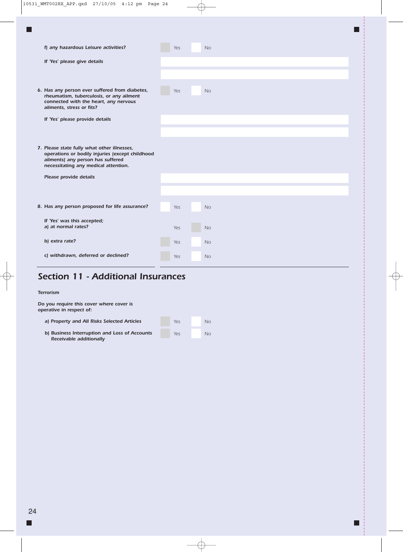| 10531 WMT002RX APP.qxd 27/10/05 4:12 pm Page 24 |  |  |
|-------------------------------------------------|--|--|
|                                                 |  |  |

| f) any hazardous Leisure activities?                                                                                                                                        | Yes | <b>No</b> |  |  |
|-----------------------------------------------------------------------------------------------------------------------------------------------------------------------------|-----|-----------|--|--|
| If 'Yes' please give details                                                                                                                                                |     |           |  |  |
|                                                                                                                                                                             |     |           |  |  |
| 6. Has any person ever suffered from diabetes,<br>rheumatism, tuberculosis, or any ailment                                                                                  | Yes | <b>No</b> |  |  |
| connected with the heart, any nervous<br>ailments, stress or fits?                                                                                                          |     |           |  |  |
| If 'Yes' please provide details                                                                                                                                             |     |           |  |  |
|                                                                                                                                                                             |     |           |  |  |
| 7. Please state fully what other illnesses,<br>operations or bodily injuries (except childhood<br>ailments) any person has suffered<br>necessitating any medical attention. |     |           |  |  |
| Please provide details                                                                                                                                                      |     |           |  |  |
|                                                                                                                                                                             |     |           |  |  |
| 8. Has any person proposed for life assurance?                                                                                                                              | Yes | <b>No</b> |  |  |
| If 'Yes' was this accepted;<br>a) at normal rates?                                                                                                                          | Yes | <b>No</b> |  |  |
| b) extra rate?                                                                                                                                                              | Yes | <b>No</b> |  |  |
| c) withdrawn, deferred or declined?                                                                                                                                         | Yes | <b>No</b> |  |  |

# *Section 11 - Additional Insurances*

#### *Terrorism*

*Yes No Yes No Do you require this cover where cover is operative in respect of: a) Property and All Risks Selected Articles*

*b) Business Interruption and Loss of Accounts Receivable additionally*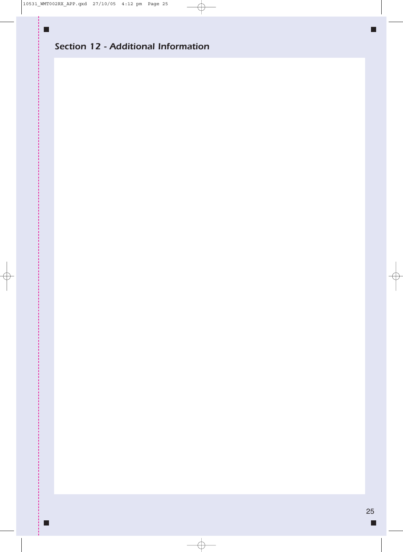$\blacksquare$ 

Æ

# *Section 12 - Additional Information*

 $\blacksquare$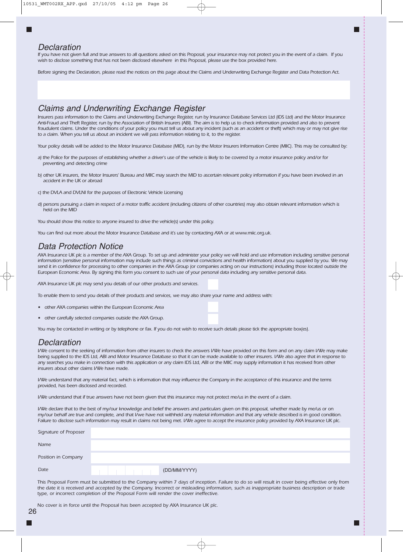#### Declaration

*If you have not given full and true answers to all questions asked on this Proposal, your insurance may not protect you in the event of a claim. If you wish to disclose something that has not been disclosed elsewhere in this Proposal, please use the box provided here.*

*Before signing the Declaration, please read the notices on this page about the Claims and Underwriting Exchange Register and Data Protection Act.* 

### Claims and Underwriting Exchange Register

*Insurers pass information to the Claims and Underwriting Exchange Register, run by Insurance Database Services Ltd (IDS Ltd) and the Motor Insurance Anti-Fraud and Theft Register, run by the Association of British Insurers (ABI). The aim is to help us to check information provided and also to prevent fraudulent claims. Under the conditions of your policy you must tell us about any incident (such as an accident or theft) which may or may not give rise to a claim. When you tell us about an incident we will pass information relating to it, to the register.*

*Your policy details will be added to the Motor Insurance Database (MID), run by the Motor Insurers Information Centre (MIIC). This may be consulted by:*

- *a) the Police for the purposes of establishing whether a driver's use of the vehicle is likely to be covered by a motor insurance policy and/or for preventing and detecting crime*
- *b) other UK insurers, the Motor Insurers' Bureau and MIIC may search the MID to ascertain relevant policy information if you have been involved in an accident in the UK or abroad*

*c) the DVLA and DVLNI for the purposes of Electronic Vehicle Licensing* 

*d) persons pursuing a claim in respect of a motor traffic accident (including citizens of other countries) may also obtain relevant information which is held on the MID*

*You should show this notice to anyone insured to drive the vehicle(s) under this policy.*

*You can find out more about the Motor Insurance Database and it's use by contacting AXA or at www.miic.org.uk.*

### Data Protection Notice

*AXA Insurance UK plc is a member of the AXA Group. To set up and administer your policy we will hold and use information including sensitive personal information (sensitive personal information may include such things as criminal convictions and health information) about you supplied by you. We may send it in confidence for processing to other companies in the AXA Group (or companies acting on our instructions) including those located outside the European Economic Area. By signing this form you consent to such use of your personal data including any sensitive personal data.* 

*AXA Insurance UK plc may send you details of our other products and services.*

*To enable them to send you details of their products and services, we may also share your name and address with:*

- *other AXA companies within the European Economic Area*
- *other carefully selected companies outside the AXA Group.*

*You may be contacted in writing or by telephone or fax. If you do not wish to receive such details please tick the appropriate box(es).*

#### **Declaration**

*I/We consent to the seeking of information from other insurers to check the answers I/We have provided on this form and on any claim I/We may make being supplied to the IDS Ltd, ABI and Motor Insurance Database so that it can be made available to other insurers. I/We also agree that in response to any searches you make in connection with this application or any claim IDS Ltd, ABI or the MIIC may supply information it has received from other insurers about other claims I/We have made.*

*I/We understand that any material fact, which is information that may influence the Company in the acceptance of this insurance and the terms provided, has been disclosed and recorded.*

*I/We understand that if true answers have not been given that this insurance may not protect me/us in the event of a claim.*

*I/We declare that to the best of my/our knowledge and belief the answers and particulars given on this proposal, whether made by me/us or on my/our behalf are true and complete, and that I/we have not withheld any material information and that any vehicle described is in good condition. Failure to disclose such information may result in claims not being met. I/We agree to accept the insurance policy provided by AXA Insurance UK plc.*

| Signature of Proposer |              |  |  |
|-----------------------|--------------|--|--|
| Name                  |              |  |  |
| Position in Company   |              |  |  |
| Date                  | (DD/MM/YYYY) |  |  |

*This Proposal Form must be submitted to the Company within 7 days of inception. Failure to do so will result in cover being effective only from the date it is received and accepted by the Company. Incorrect or misleading information, such as inappropriate business description or trade type, or incorrect completion of the Proposal Form will render the cover ineffective.*

 $\Box$ 

*No cover is in force until the Proposal has been accepted by AXA Insurance UK plc.*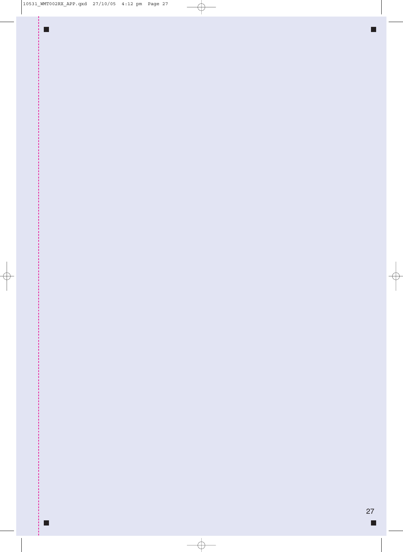$\mathbb G$ 

 $\blacksquare$ 

 $\overline{\varphi}$ 

 $\overline{\bigoplus}$ 

 $\blacksquare$